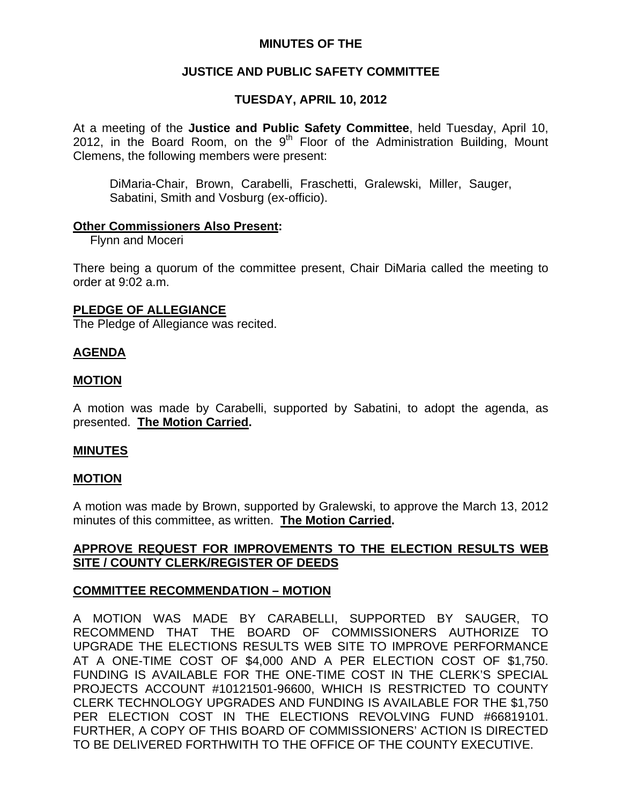## **MINUTES OF THE**

# **JUSTICE AND PUBLIC SAFETY COMMITTEE**

## **TUESDAY, APRIL 10, 2012**

At a meeting of the **Justice and Public Safety Committee**, held Tuesday, April 10, 2012, in the Board Room, on the  $9<sup>th</sup>$  Floor of the Administration Building, Mount Clemens, the following members were present:

DiMaria-Chair, Brown, Carabelli, Fraschetti, Gralewski, Miller, Sauger, Sabatini, Smith and Vosburg (ex-officio).

#### **Other Commissioners Also Present:**

**Flynn and Moceri** 

There being a quorum of the committee present, Chair DiMaria called the meeting to order at 9:02 a.m.

### **PLEDGE OF ALLEGIANCE**

The Pledge of Allegiance was recited.

### **AGENDA**

### **MOTION**

A motion was made by Carabelli, supported by Sabatini, to adopt the agenda, as presented. **The Motion Carried.** 

### **MINUTES**

### **MOTION**

A motion was made by Brown, supported by Gralewski, to approve the March 13, 2012 minutes of this committee, as written. **The Motion Carried.** 

# **APPROVE REQUEST FOR IMPROVEMENTS TO THE ELECTION RESULTS WEB SITE / COUNTY CLERK/REGISTER OF DEEDS**

### **COMMITTEE RECOMMENDATION – MOTION**

A MOTION WAS MADE BY CARABELLI, SUPPORTED BY SAUGER, TO RECOMMEND THAT THE BOARD OF COMMISSIONERS AUTHORIZE TO UPGRADE THE ELECTIONS RESULTS WEB SITE TO IMPROVE PERFORMANCE AT A ONE-TIME COST OF \$4,000 AND A PER ELECTION COST OF \$1,750. FUNDING IS AVAILABLE FOR THE ONE-TIME COST IN THE CLERK'S SPECIAL PROJECTS ACCOUNT #10121501-96600, WHICH IS RESTRICTED TO COUNTY CLERK TECHNOLOGY UPGRADES AND FUNDING IS AVAILABLE FOR THE \$1,750 PER ELECTION COST IN THE ELECTIONS REVOLVING FUND #66819101. FURTHER, A COPY OF THIS BOARD OF COMMISSIONERS' ACTION IS DIRECTED TO BE DELIVERED FORTHWITH TO THE OFFICE OF THE COUNTY EXECUTIVE.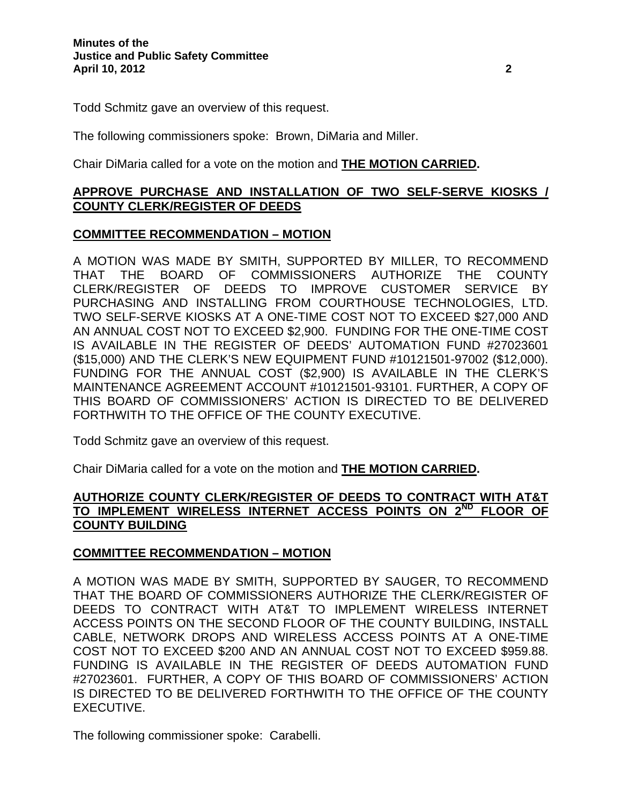Todd Schmitz gave an overview of this request.

The following commissioners spoke: Brown, DiMaria and Miller.

Chair DiMaria called for a vote on the motion and **THE MOTION CARRIED.** 

## **APPROVE PURCHASE AND INSTALLATION OF TWO SELF-SERVE KIOSKS / COUNTY CLERK/REGISTER OF DEEDS**

## **COMMITTEE RECOMMENDATION – MOTION**

A MOTION WAS MADE BY SMITH, SUPPORTED BY MILLER, TO RECOMMEND THAT THE BOARD OF COMMISSIONERS AUTHORIZE THE COUNTY CLERK/REGISTER OF DEEDS TO IMPROVE CUSTOMER SERVICE BY PURCHASING AND INSTALLING FROM COURTHOUSE TECHNOLOGIES, LTD. TWO SELF-SERVE KIOSKS AT A ONE-TIME COST NOT TO EXCEED \$27,000 AND AN ANNUAL COST NOT TO EXCEED \$2,900. FUNDING FOR THE ONE-TIME COST IS AVAILABLE IN THE REGISTER OF DEEDS' AUTOMATION FUND #27023601 (\$15,000) AND THE CLERK'S NEW EQUIPMENT FUND #10121501-97002 (\$12,000). FUNDING FOR THE ANNUAL COST (\$2,900) IS AVAILABLE IN THE CLERK'S MAINTENANCE AGREEMENT ACCOUNT #10121501-93101. FURTHER, A COPY OF THIS BOARD OF COMMISSIONERS' ACTION IS DIRECTED TO BE DELIVERED FORTHWITH TO THE OFFICE OF THE COUNTY EXECUTIVE.

Todd Schmitz gave an overview of this request.

Chair DiMaria called for a vote on the motion and **THE MOTION CARRIED.** 

## **AUTHORIZE COUNTY CLERK/REGISTER OF DEEDS TO CONTRACT WITH AT&T TO IMPLEMENT WIRELESS INTERNET ACCESS POINTS ON 2ND FLOOR OF COUNTY BUILDING**

# **COMMITTEE RECOMMENDATION – MOTION**

A MOTION WAS MADE BY SMITH, SUPPORTED BY SAUGER, TO RECOMMEND THAT THE BOARD OF COMMISSIONERS AUTHORIZE THE CLERK/REGISTER OF DEEDS TO CONTRACT WITH AT&T TO IMPLEMENT WIRELESS INTERNET ACCESS POINTS ON THE SECOND FLOOR OF THE COUNTY BUILDING, INSTALL CABLE, NETWORK DROPS AND WIRELESS ACCESS POINTS AT A ONE-TIME COST NOT TO EXCEED \$200 AND AN ANNUAL COST NOT TO EXCEED \$959.88. FUNDING IS AVAILABLE IN THE REGISTER OF DEEDS AUTOMATION FUND #27023601. FURTHER, A COPY OF THIS BOARD OF COMMISSIONERS' ACTION IS DIRECTED TO BE DELIVERED FORTHWITH TO THE OFFICE OF THE COUNTY EXECUTIVE.

The following commissioner spoke: Carabelli.